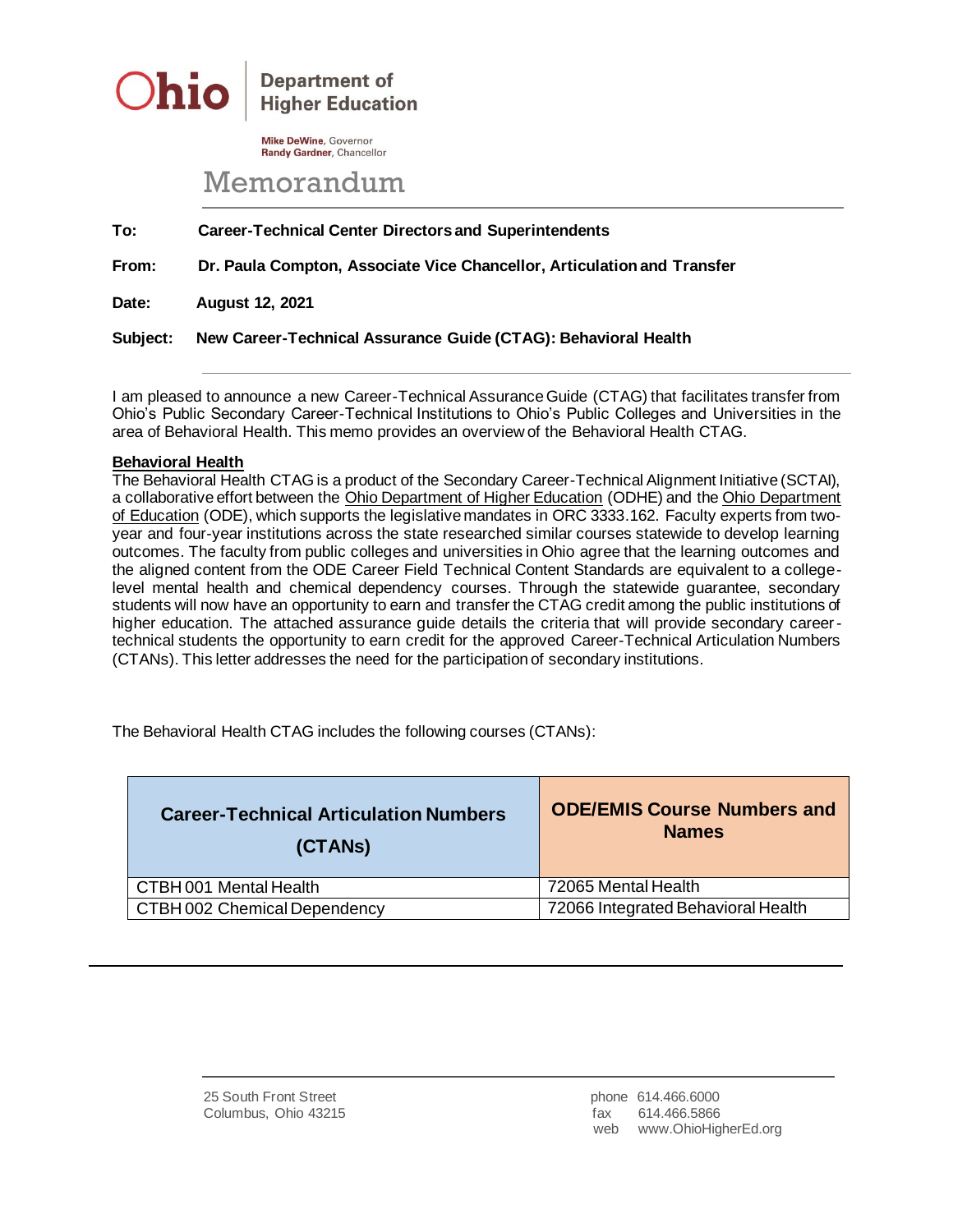

**Department of Higher Education** 

**Mike DeWine, Governor** Randy Gardner, Chancellor

## Memorandum

**To: Career-Technical Center Directors and Superintendents**

**From: Dr. Paula Compton, Associate Vice Chancellor, Articulation and Transfer**

**Date: August 12, 2021**

**Subject: New Career-Technical Assurance Guide (CTAG): Behavioral Health**

I am pleased to announce a new Career-Technical Assurance Guide (CTAG) that facilitates transfer from Ohio's Public Secondary Career-Technical Institutions to Ohio's Public Colleges and Universities in the area of Behavioral Health. This memo provides an overview of the Behavioral Health CTAG.

## **Behavioral Health**

The Behavioral Health CTAG is a product of the Secondary Career-Technical Alignment Initiative (SCTAI), a collaborative effort between the Ohio Department of Higher Education (ODHE) and the Ohio Department of Education (ODE), which supports the legislative mandates in ORC 3333.162. Faculty experts from twoyear and four-year institutions across the state researched similar courses statewide to develop learning outcomes. The faculty from public colleges and universities in Ohio agree that the learning outcomes and the aligned content from the ODE Career Field Technical Content Standards are equivalent to a collegelevel mental health and chemical dependency courses. Through the statewide guarantee, secondary students will now have an opportunity to earn and transfer the CTAG credit among the public institutions of higher education. The attached assurance guide details the criteria that will provide secondary careertechnical students the opportunity to earn credit for the approved Career-Technical Articulation Numbers (CTANs). This letter addresses the need for the participation of secondary institutions.

The Behavioral Health CTAG includes the following courses (CTANs):

| <b>Career-Technical Articulation Numbers</b><br>(CTANS) | <b>ODE/EMIS Course Numbers and</b><br><b>Names</b> |
|---------------------------------------------------------|----------------------------------------------------|
| CTBH 001 Mental Health                                  | 72065 Mental Health                                |
| CTBH 002 Chemical Dependency                            | 72066 Integrated Behavioral Health                 |